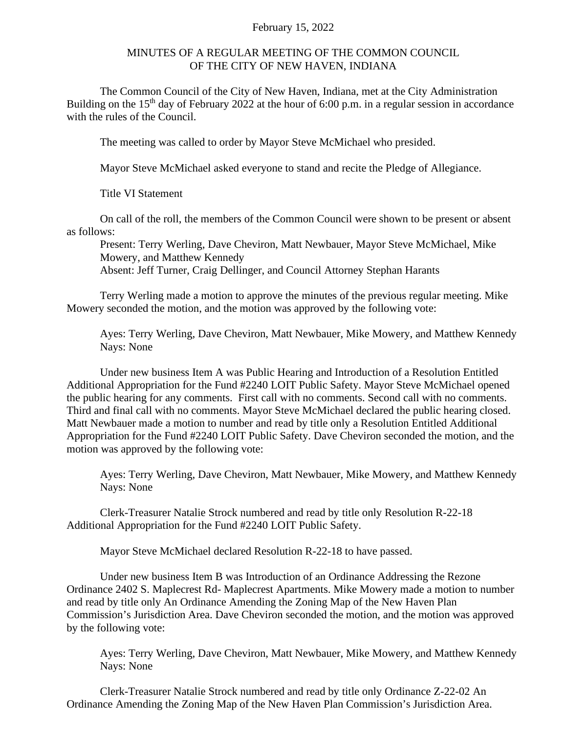## February 15, 2022

## MINUTES OF A REGULAR MEETING OF THE COMMON COUNCIL OF THE CITY OF NEW HAVEN, INDIANA

The Common Council of the City of New Haven, Indiana, met at the City Administration Building on the  $15<sup>th</sup>$  day of February 2022 at the hour of 6:00 p.m. in a regular session in accordance with the rules of the Council.

The meeting was called to order by Mayor Steve McMichael who presided.

Mayor Steve McMichael asked everyone to stand and recite the Pledge of Allegiance.

Title VI Statement

On call of the roll, the members of the Common Council were shown to be present or absent as follows:

Present: Terry Werling, Dave Cheviron, Matt Newbauer, Mayor Steve McMichael, Mike Mowery, and Matthew Kennedy Absent: Jeff Turner, Craig Dellinger, and Council Attorney Stephan Harants

Terry Werling made a motion to approve the minutes of the previous regular meeting. Mike Mowery seconded the motion, and the motion was approved by the following vote:

Ayes: Terry Werling, Dave Cheviron, Matt Newbauer, Mike Mowery, and Matthew Kennedy Nays: None

Under new business Item A was Public Hearing and Introduction of a Resolution Entitled Additional Appropriation for the Fund #2240 LOIT Public Safety. Mayor Steve McMichael opened the public hearing for any comments. First call with no comments. Second call with no comments. Third and final call with no comments. Mayor Steve McMichael declared the public hearing closed. Matt Newbauer made a motion to number and read by title only a Resolution Entitled Additional Appropriation for the Fund #2240 LOIT Public Safety. Dave Cheviron seconded the motion, and the motion was approved by the following vote:

Ayes: Terry Werling, Dave Cheviron, Matt Newbauer, Mike Mowery, and Matthew Kennedy Nays: None

Clerk-Treasurer Natalie Strock numbered and read by title only Resolution R-22-18 Additional Appropriation for the Fund #2240 LOIT Public Safety.

Mayor Steve McMichael declared Resolution R-22-18 to have passed.

Under new business Item B was Introduction of an Ordinance Addressing the Rezone Ordinance 2402 S. Maplecrest Rd- Maplecrest Apartments. Mike Mowery made a motion to number and read by title only An Ordinance Amending the Zoning Map of the New Haven Plan Commission's Jurisdiction Area. Dave Cheviron seconded the motion, and the motion was approved by the following vote:

Ayes: Terry Werling, Dave Cheviron, Matt Newbauer, Mike Mowery, and Matthew Kennedy Nays: None

Clerk-Treasurer Natalie Strock numbered and read by title only Ordinance Z-22-02 An Ordinance Amending the Zoning Map of the New Haven Plan Commission's Jurisdiction Area.